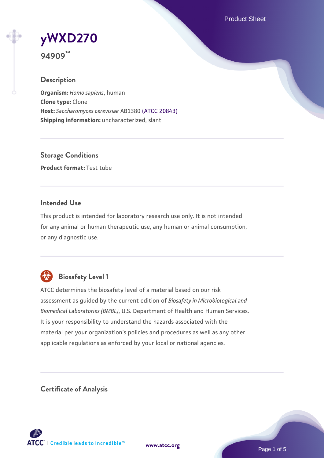Product Sheet

# **[yWXD270](https://www.atcc.org/products/94909)**

**94909™**

## **Description**

**Organism:** *Homo sapiens*, human **Clone type:** Clone **Host:** *Saccharomyces cerevisiae* AB1380 [\(ATCC 20843\)](https://www.atcc.org/products/20843) **Shipping information:** uncharacterized, slant

**Storage Conditions Product format:** Test tube

#### **Intended Use**

This product is intended for laboratory research use only. It is not intended for any animal or human therapeutic use, any human or animal consumption, or any diagnostic use.



# **Biosafety Level 1**

ATCC determines the biosafety level of a material based on our risk assessment as guided by the current edition of *Biosafety in Microbiological and Biomedical Laboratories (BMBL)*, U.S. Department of Health and Human Services. It is your responsibility to understand the hazards associated with the material per your organization's policies and procedures as well as any other applicable regulations as enforced by your local or national agencies.

**Certificate of Analysis**

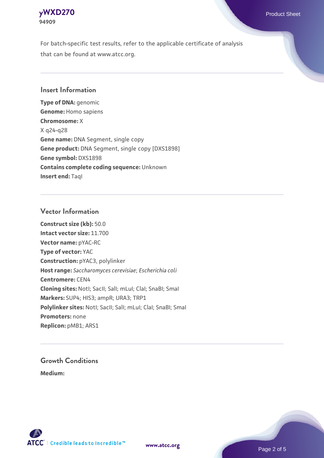

For batch-specific test results, refer to the applicable certificate of analysis that can be found at www.atcc.org.

#### **Insert Information**

**Type of DNA:** genomic **Genome:** Homo sapiens **Chromosome:** X X q24-q28 **Gene name:** DNA Segment, single copy **Gene product:** DNA Segment, single copy [DXS1898] **Gene symbol:** DXS1898 **Contains complete coding sequence:** Unknown **Insert end: Tagl** 

#### **Vector Information**

**Construct size (kb):** 50.0 **Intact vector size:** 11.700 **Vector name:** pYAC-RC **Type of vector:** YAC **Construction:** pYAC3, polylinker **Host range:** *Saccharomyces cerevisiae*; *Escherichia coli* **Centromere:** CEN4 **Cloning sites:** NotI; SacII; SalI; mLuI; ClaI; SnaBI; SmaI **Markers:** SUP4; HIS3; ampR; URA3; TRP1 Polylinker sites: Notl; SacII; SalI; mLuI; ClaI; SnaBI; SmaI **Promoters:** none **Replicon:** pMB1; ARS1

# **Growth Conditions**

**Medium:** 



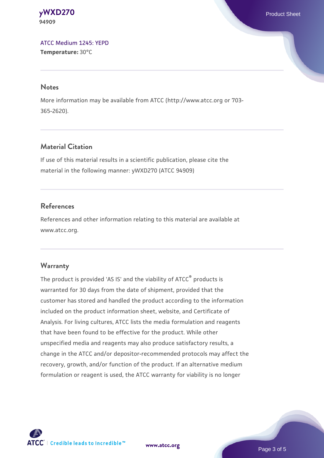**[yWXD270](https://www.atcc.org/products/94909)** Product Sheet **94909**

[ATCC Medium 1245: YEPD](https://www.atcc.org/-/media/product-assets/documents/microbial-media-formulations/1/2/4/5/atcc-medium-1245.pdf?rev=705ca55d1b6f490a808a965d5c072196) **Temperature:** 30°C

#### **Notes**

More information may be available from ATCC (http://www.atcc.org or 703- 365-2620).

#### **Material Citation**

If use of this material results in a scientific publication, please cite the material in the following manner: yWXD270 (ATCC 94909)

#### **References**

References and other information relating to this material are available at www.atcc.org.

#### **Warranty**

The product is provided 'AS IS' and the viability of ATCC® products is warranted for 30 days from the date of shipment, provided that the customer has stored and handled the product according to the information included on the product information sheet, website, and Certificate of Analysis. For living cultures, ATCC lists the media formulation and reagents that have been found to be effective for the product. While other unspecified media and reagents may also produce satisfactory results, a change in the ATCC and/or depositor-recommended protocols may affect the recovery, growth, and/or function of the product. If an alternative medium formulation or reagent is used, the ATCC warranty for viability is no longer

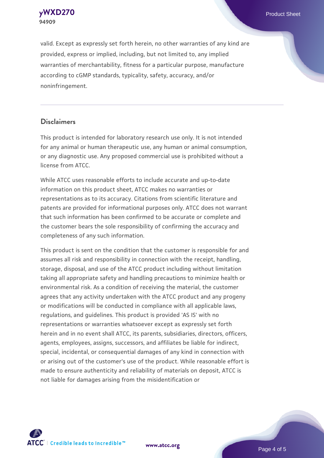**[yWXD270](https://www.atcc.org/products/94909)** Product Sheet **94909**

valid. Except as expressly set forth herein, no other warranties of any kind are provided, express or implied, including, but not limited to, any implied warranties of merchantability, fitness for a particular purpose, manufacture according to cGMP standards, typicality, safety, accuracy, and/or noninfringement.

#### **Disclaimers**

This product is intended for laboratory research use only. It is not intended for any animal or human therapeutic use, any human or animal consumption, or any diagnostic use. Any proposed commercial use is prohibited without a license from ATCC.

While ATCC uses reasonable efforts to include accurate and up-to-date information on this product sheet, ATCC makes no warranties or representations as to its accuracy. Citations from scientific literature and patents are provided for informational purposes only. ATCC does not warrant that such information has been confirmed to be accurate or complete and the customer bears the sole responsibility of confirming the accuracy and completeness of any such information.

This product is sent on the condition that the customer is responsible for and assumes all risk and responsibility in connection with the receipt, handling, storage, disposal, and use of the ATCC product including without limitation taking all appropriate safety and handling precautions to minimize health or environmental risk. As a condition of receiving the material, the customer agrees that any activity undertaken with the ATCC product and any progeny or modifications will be conducted in compliance with all applicable laws, regulations, and guidelines. This product is provided 'AS IS' with no representations or warranties whatsoever except as expressly set forth herein and in no event shall ATCC, its parents, subsidiaries, directors, officers, agents, employees, assigns, successors, and affiliates be liable for indirect, special, incidental, or consequential damages of any kind in connection with or arising out of the customer's use of the product. While reasonable effort is made to ensure authenticity and reliability of materials on deposit, ATCC is not liable for damages arising from the misidentification or



**[www.atcc.org](http://www.atcc.org)**

Page 4 of 5